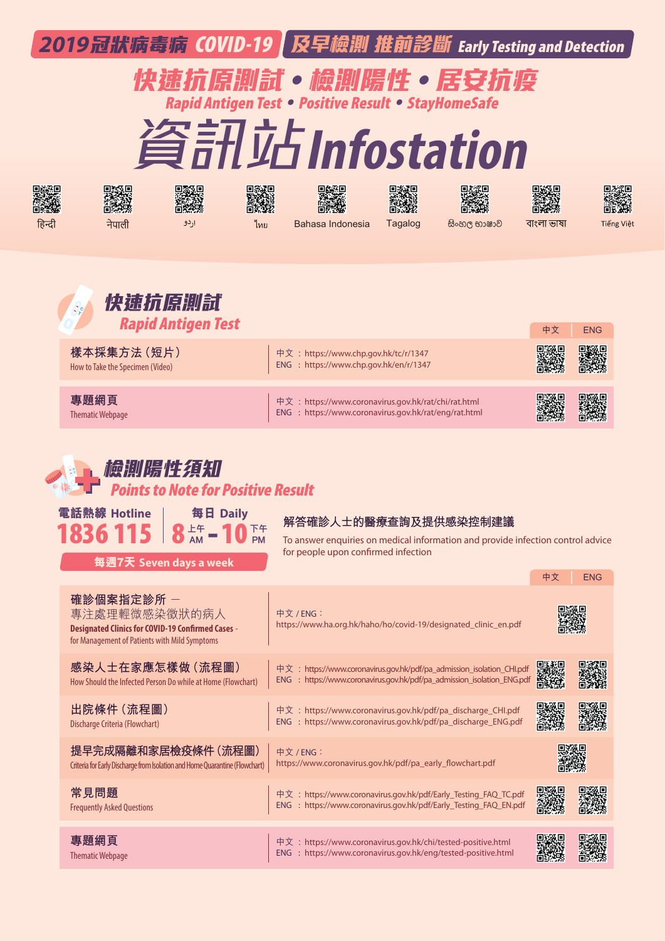|        |                                                                                                                                          |                                                                                  |          | 2019冠狀病毒病 COVID-19 及早檢測 推前診斷 Early Testing and Detection<br>快速抗原測試。檢測陽性。居安抗疫<br>Rapid Antigen Test · Positive Result · StayHomeSafe<br>資訊站Infostation |         |             |                                |            |
|--------|------------------------------------------------------------------------------------------------------------------------------------------|----------------------------------------------------------------------------------|----------|-------------------------------------------------------------------------------------------------------------------------------------------------------|---------|-------------|--------------------------------|------------|
| हिन्दी | नेपाली                                                                                                                                   | اردو                                                                             | ไทย      | Bahasa Indonesia                                                                                                                                      | Tagalog | සිංහල භාෂාව | বাংলা ভাষা                     | Tiếng Việt |
|        | 樣本採集方法 (短片)<br>How to Take the Specimen (Video)                                                                                          | 快速抗原测試<br><b>Rapid Antigen Test</b>                                              |          | 中文: https://www.chp.gov.hk/tc/r/1347<br>ENG : https://www.chp.gov.hk/en/r/1347                                                                        |         |             | 中文                             | <b>ENG</b> |
|        | 專題網頁<br><b>Thematic Webpage</b>                                                                                                          |                                                                                  |          | 中文: https://www.coronavirus.gov.hk/rat/chi/rat.html<br>ENG : https://www.coronavirus.gov.hk/rat/eng/rat.html                                          |         |             |                                |            |
|        | 電話熱線 Hotline<br>$836115$ $8+4$                                                                                                           | 横拟陽性弃职<br>ints to Note for Positive Result<br>每日 Daily<br>每週7天 Seven days a week | 下午<br>PM | 解答確診人士的醫療查詢及提供感染控制建議<br>To answer enquiries on medical information and provide infection control advice<br>for people upon confirmed infection        |         |             |                                |            |
|        | 確診個案指定診所 -<br>專注處理輕微感染徵狀的病人<br><b>Designated Clinics for COVID-19 Confirmed Cases -</b><br>for Management of Patients with Mild Symptoms |                                                                                  |          | 中文 / ENG:<br>https://www.ha.org.hk/haho/ho/covid-19/designated_clinic_en.pdf                                                                          |         |             | 中文                             | <b>ENG</b> |
|        | 感染人士在家應怎樣做 (流程圖)<br>How Should the Infected Person Do while at Home (Flowchart)                                                          |                                                                                  |          | 中文: https://www.coronavirus.gov.hk/pdf/pa_admission_isolation_CHI.pdf<br>ENG : https://www.coronavirus.gov.hk/pdf/pa_admission_isolation_ENG.pdf      |         |             | under Stadter<br>Stadter<br>微选 |            |
|        | 出院條件 (流程圖)<br>Discharge Criteria (Flowchart)<br>提早完成隔離和家居檢疫條件(流程圖)                                                                       |                                                                                  |          | 中文: https://www.coronavirus.gov.hk/pdf/pa_discharge_CHI.pdf<br>ENG : https://www.coronavirus.gov.hk/pdf/pa_discharge_ENG.pdf<br>中文 / ENG:             |         |             | 毁怨                             |            |
|        | Criteria for Early Discharge from Isolation and Home Quarantine (Flowchart)<br>常見問題                                                      |                                                                                  |          | https://www.coronavirus.gov.hk/pdf/pa_early_flowchart.pdf<br>中文: https://www.coronavirus.gov.hk/pdf/Early_Testing_FAQ_TC.pdf                          |         |             |                                |            |
|        | <b>Frequently Asked Questions</b><br>專題網頁                                                                                                |                                                                                  |          | ENG : https://www.coronavirus.gov.hk/pdf/Early_Testing_FAQ_EN.pdf<br>中文: https://www.coronavirus.gov.hk/chi/tested-positive.html                      |         |             |                                |            |
|        | <b>Thematic Webpage</b>                                                                                                                  |                                                                                  |          | ENG : https://www.coronavirus.gov.hk/eng/tested-positive.html                                                                                         |         |             |                                |            |